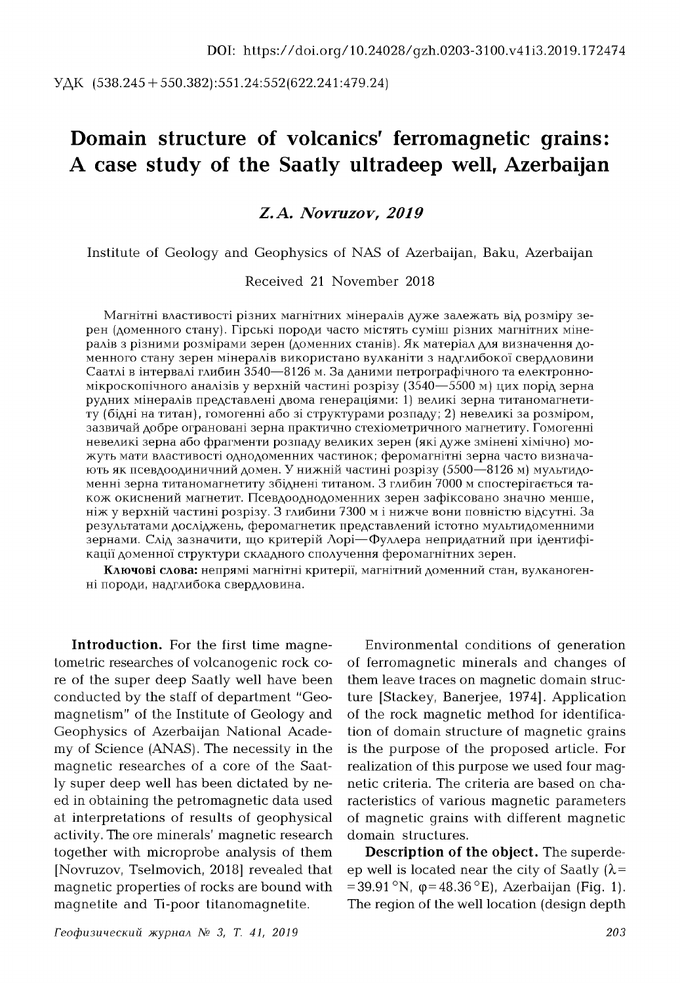УДК (538.245 + 550.382):551.24:552(622.241:479.24)

# **Domain structure of volcanics' ferromagnetic grains: A case study of the Saatly ultradeep well, Azerbaijan**

## *Z.A. Novruzov, 2019*

Institute of Geology and Geophysics of NAS of Azerbaijan, Baku, Azerbaijan

#### Received 21 November 2018

Магнітні властивості різних магнітних мінералів дуже залежать від розміру зерен (доменного стану). Гірські породи часто містять суміш різних магнітних мінералів з різними розмірами зерен (доменних станів). Як матеріал для визначення доменного стану зерен мінералів використано вулканіти з надглибокої свердловини Саатлі в інтервалі глибин 3540—8126 м. За даними петрографічного та електронномікроскопічного аналізів у верхній частині розрізу (3540—5500 м) цих порід зерна рудних мiнералiв представленi двома генерацiями: 1) великi зерна титаномагнетиту (бідні на титан), гомогенні або зі структурами розпаду; 2) невеликі за розміром, зазвичай добре ограновані зерна практично стехіометричного магнетиту. Гомогенні невеликі зерна або фрагменти розпаду великих зерен (які дуже змінені хімічно) можуть мати властивості однодоменних частинок; феромагнітні зерна часто визначають як псевдоодиничний домен. У нижній частині розрізу (5500—8126 м) мультидоменні зерна титаномагнетиту збіднені титаном. З глибин 7000 м спостерігається також окиснений магнетит. Псевдооднодоменних зерен зафіксовано значно менше, ніж у верхній частині розрізу. З глибини 7300 м і нижче вони повністю відсутні. За результатами досліджень, феромагнетик представлений істотно мультидоменними зернами. Слід зазначити, що критерій Лорі— Фуллера непридатний при ідентифікації доменної структури складного сполучення феромагнітних зерен.

**Ключові слова:** непрямі магнітні критерії, магнітний доменний стан, вулканогенні породи, надглибока свердловина.

**Introduction.** For the first time magnetometric researches of volcanogenic rock core of the super deep Saatly well have been conducted by the staff of department "Geomagnetism" of the Institute of Geology and Geophysics of Azerbaijan National Academy of Science (ANAS). The necessity in the magnetic researches of a core of the Saatly super deep well has been dictated by need in obtaining the petromagnetic data used at interpretations of results of geophysical activity. The ore minerals' magnetic research together with microprobe analysis of them [Novruzov, Tselmovich, 2018] revealed that magnetic properties of rocks are bound with magnetite and Ti-poor titanomagnetite.

Environmental conditions of generation of ferromagnetic minerals and changes of them leave traces on magnetic domain structure [Stackey, Banerjee, 1974]. Application of the rock magnetic method for identification of domain structure of magnetic grains is the purpose of the proposed article. For realization of this purpose we used four magnetic criteria. The criteria are based on characteristics of various magnetic parameters of magnetic grains with different magnetic domain structures.

**Description of the object.** The superdeep well is located near the city of Saatly  $(\lambda =$  $= 39.91 \text{°N}$ ,  $\phi = 48.36 \text{°E}$ ), Azerbaijan (Fig. 1). The region of the well location (design depth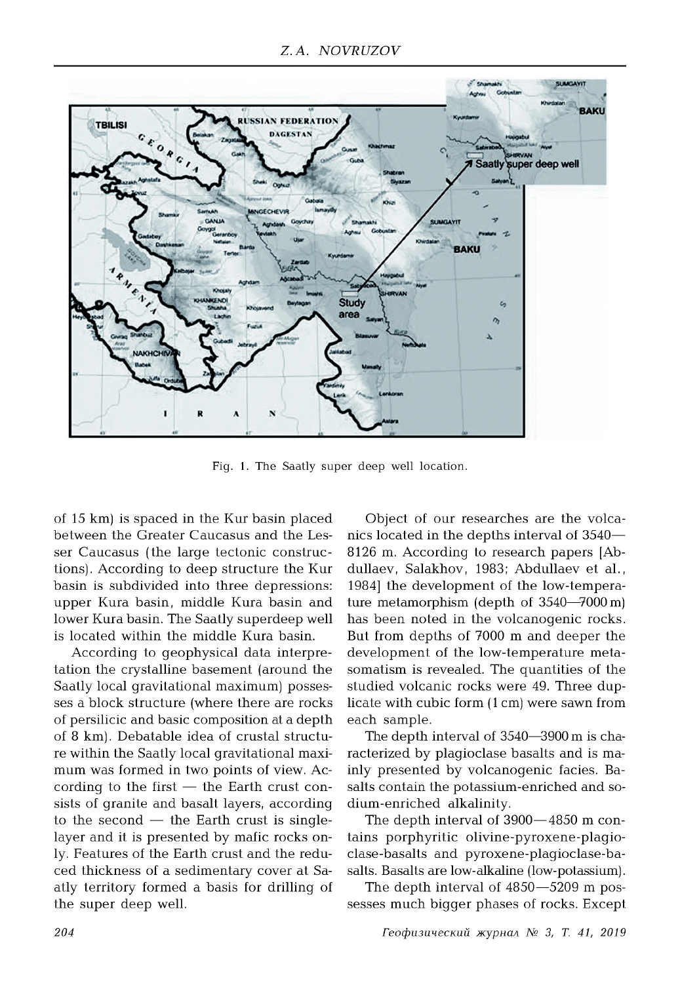

Fig. 1. The Saatly super deep well location.

of 15 km) is spaced in the Kur basin placed between the Greater Caucasus and the Lesser Caucasus (the large tectonic constructions). According to deep structure the Kur basin is subdivided into three depressions: upper Kura basin, middle Kura basin and lower Kura basin. The Saatly superdeep well is located within the middle Kura basin.

According to geophysical data interpretation the crystalline basement (around the Saatly local gravitational maximum) possesses a block structure (where there are rocks of persilicic and basic composition at a depth of 8 km). Debatable idea of crustal structure within the Saatly local gravitational maximum was formed in two points of view. According to the first  $-$  the Earth crust consists of granite and basalt layers, according to the second  $-$  the Earth crust is singlelayer and it is presented by mafic rocks only. Features of the Earth crust and the reduced thickness of a sedimentary cover at Saatly territory formed a basis for drilling of the super deep well.

Object of our researches are the volcanics located in the depths interval of 3540— 8126 m. According to research papers [Abdullaev, Salakhov, 1983; Abdullaev et al., 1984] the development of the low-temperature metamorphism (depth of 3540—7000 m) has been noted in the volcanogenic rocks. But from depths of 7000 m and deeper the development of the low-temperature metasomatism is revealed. The quantities of the studied volcanic rocks were 49. Three duplicate with cubic form (1 cm) were sawn from each sample.

The depth interval of 3540—3900 m is characterized by plagioclase basalts and is mainly presented by volcanogenic facies. Basalts contain the potassium-enriched and sodium-enriched alkalinity.

The depth interval of 3900—4850 m contains porphyritic olivine-pyroxene-plagioclase-basalts and pyroxene-plagioclase-basalts. Basalts are low-alkaline (low-potassium).

The depth interval of 4850—5209 m possesses much bigger phases of rocks. Except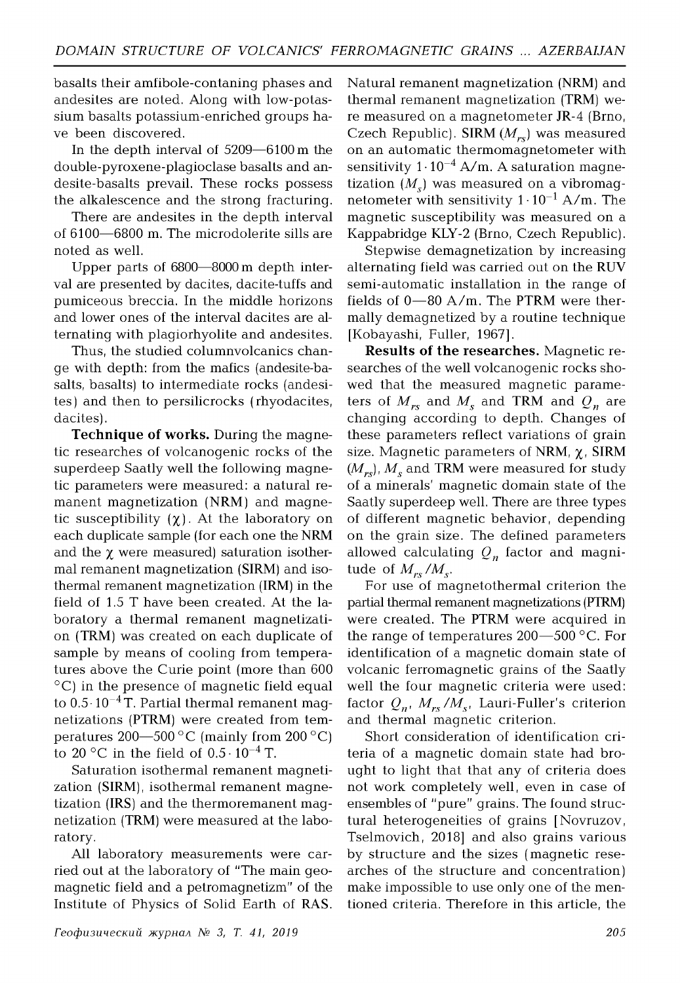basalts their amfibole-contaning phases and andesites are noted. Along with low-potassium basalts potassium-enriched groups have been discovered.

In the depth interval of 5209—6100m the double-pyroxene-plagioclase basalts and andesite-basalts prevail. These rocks possess the alkalescence and the strong fracturing.

There are andesites in the depth interval of 6100—6800 m. The microdolerite sills are noted as well.

Upper parts of 6800—8000 m depth interval are presented by dacites, dacite-tuffs and pumiceous breccia. In the middle horizons and lower ones of the interval dacites are alternating with plagiorhyolite and andesites.

Thus, the studied columnvolcanics change with depth: from the mafics (andesite-basalts, basalts) to intermediate rocks (andesites) and then to persilicrocks (rhyodacites, dacites).

**Technique of works.** During the magnetic researches of volcanogenic rocks of the superdeep Saatly well the following magnetic parameters were measured: a natural remanent magnetization (NRM) and magnetic susceptibility  $(\chi)$ . At the laboratory on each duplicate sample (for each one the NRM and the  $\chi$  were measured) saturation isothermal remanent magnetization (SIRM) and isothermal remanent magnetization (IRM) in the field of 1.5 T have been created. At the laboratory a thermal remanent magnetization (TRM) was created on each duplicate of sample by means of cooling from temperatures above the Curie point (more than 600 °C) in the presence of magnetic field equal to  $0.5\cdot 10^{-4}$  T. Partial thermal remanent magnetizations (PTRM) were created from temperatures 200—500  $^{\circ}$ C (mainly from 200  $^{\circ}$ C) to 20 °C in the field of  $0.5 \cdot 10^{-4}$  T.

Saturation isothermal remanent magnetization (SIRM), isothermal remanent magnetization (IRS) and the thermoremanent magnetization (TRM) were measured at the laboratory.

All laboratory measurements were carried out at the laboratory of "The main geomagnetic field and a petromagnetizm" of the Institute of Physics of Solid Earth of RAS. Natural remanent magnetization (NRM) and thermal remanent magnetization (TRM) were measured on a magnetometer JR-4 (Brno, Czech Republic). SIRM *(Mrs*) was measured on an automatic thermomagnetometer with sensitivity  $1 \cdot 10^{-4}$  A/m. A saturation magnetization  $(M<sub>s</sub>)$  was measured on a vibromagnetometer with sensitivity  $1 \cdot 10^{-1}$  A/m. The magnetic susceptibility was measured on a Kappabridge KLY-2 (Brno, Czech Republic).

Stepwise demagnetization by increasing alternating field was carried out on the RUV semi-automatic installation in the range of fields of 0—80 A/m. The PTRM were thermally demagnetized by a routine technique [Kobayashi, Fuller, 1967].

**Results of the researches.** Magnetic researches of the well volcanogenic rocks showed that the measured magnetic parameters of  $M_{rs}$  and  $M_s$  and TRM and  $Q_n$  are changing according to depth. Changes of these parameters reflect variations of grain size. Magnetic parameters of NRM,  $\chi$ , SIRM  $(M_{rs})$ ,  $M_s$  and TRM were measured for study of a minerals' magnetic domain state of the Saatly superdeep well. There are three types of different magnetic behavior, depending on the grain size. The defined parameters allowed calculating  $Q_n$  factor and magnitude of  $M_{rs}/M_s$ .

For use of magnetothermal criterion the partial thermal remanent magnetizations (PTRM) were created. The PTRM were acquired in the range of temperatures  $200-500$  °C. For identification of a magnetic domain state of volcanic ferromagnetic grains of the Saatly well the four magnetic criteria were used: factor  $Q_{n}$ ,  $M_{rs}/M_{s}$ , Lauri-Fuller's criterion and thermal magnetic criterion.

Short consideration of identification criteria of a magnetic domain state had brought to light that that any of criteria does not work completely well, even in case of ensembles of "pure" grains. The found structural heterogeneities of grains [Novruzov, Tselmovich, 2018] and also grains various by structure and the sizes ( magnetic researches of the structure and concentration) make impossible to use only one of the mentioned criteria. Therefore in this article, the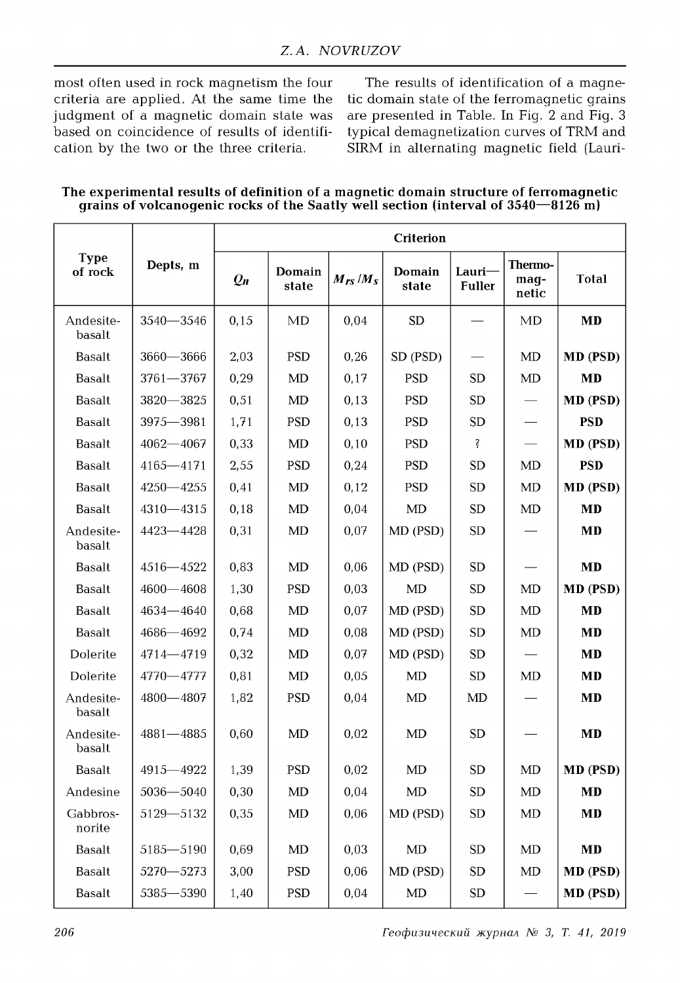most often used in rock magnetism the four criteria are applied. At the same time the judgment of a magnetic domain state was based on coincidence of results of identification by the two or the three criteria.

The results of identification of a magnetic domain state of the ferromagnetic grains are presented in Table. In Fig. 2 and Fig. 3 typical demagnetization curves of TRM and SIRM in alternating magnetic field (Lauri-

The experimental results of definition of a magnetic domain structure of ferromagnetic grains of volcanogenic rocks of the Saatly well section (interval of 3540–8126 m)

| <b>Type</b><br>of rock | Depts, m      | Criterion |                 |              |                 |                         |                          |              |  |
|------------------------|---------------|-----------|-----------------|--------------|-----------------|-------------------------|--------------------------|--------------|--|
|                        |               | $Q_n$     | Domain<br>state | $M_{rs}/M_s$ | Domain<br>state | Lauri-<br><b>Fuller</b> | Thermo-<br>mag-<br>netic | <b>Total</b> |  |
| Andesite-<br>basalt    | $3540 - 3546$ | 0,15      | MD              | 0,04         | <b>SD</b>       |                         | MD                       | <b>MD</b>    |  |
| <b>Basalt</b>          | $3660 - 3666$ | 2,03      | <b>PSD</b>      | 0,26         | SD (PSD)        |                         | MD                       | MD (PSD)     |  |
| Basalt                 | 3761-3767     | 0,29      | MD              | 0,17         | <b>PSD</b>      | <b>SD</b>               | MD                       | <b>MD</b>    |  |
| <b>Basalt</b>          | $3820 - 3825$ | 0,51      | MD              | 0,13         | <b>PSD</b>      | <b>SD</b>               |                          | MD (PSD)     |  |
| <b>Basalt</b>          | 3975-3981     | 1,71      | <b>PSD</b>      | 0,13         | <b>PSD</b>      | <b>SD</b>               |                          | <b>PSD</b>   |  |
| <b>Basalt</b>          | $4062 - 4067$ | 0,33      | MD              | 0,10         | <b>PSD</b>      | Ş                       |                          | MD (PSD)     |  |
| <b>Basalt</b>          | $4165 - 4171$ | 2,55      | <b>PSD</b>      | 0,24         | <b>PSD</b>      | <b>SD</b>               | MD                       | <b>PSD</b>   |  |
| <b>Basalt</b>          | $4250 - 4255$ | 0,41      | MD              | 0,12         | <b>PSD</b>      | <b>SD</b>               | MD                       | MD (PSD)     |  |
| <b>Basalt</b>          | $4310 - 4315$ | 0,18      | MD              | 0,04         | MD              | <b>SD</b>               | MD                       | <b>MD</b>    |  |
| Andesite-<br>basalt    | 4423 - 4428   | 0,31      | MD              | 0,07         | MD (PSD)        | <b>SD</b>               |                          | <b>MD</b>    |  |
| <b>Basalt</b>          | $4516 - 4522$ | 0,83      | MD              | 0,06         | MD (PSD)        | SD                      |                          | <b>MD</b>    |  |
| <b>Basalt</b>          | $4600 - 4608$ | 1,30      | <b>PSD</b>      | 0,03         | MD              | <b>SD</b>               | MD                       | MD (PSD)     |  |
| <b>Basalt</b>          | $4634 - 4640$ | 0,68      | MD              | 0,07         | MD (PSD)        | <b>SD</b>               | MD                       | <b>MD</b>    |  |
| <b>Basalt</b>          | $4686 - 4692$ | 0,74      | MD              | 0,08         | MD (PSD)        | <b>SD</b>               | MD                       | <b>MD</b>    |  |
| Dolerite               | 4714-4719     | 0,32      | MD              | 0,07         | MD (PSD)        | <b>SD</b>               |                          | <b>MD</b>    |  |
| Dolerite               | 4770-4777     | 0,81      | MD              | 0,05         | MD              | <b>SD</b>               | MD                       | <b>MD</b>    |  |
| Andesite-<br>basalt    | $4800 - 4807$ | 1,82      | <b>PSD</b>      | 0,04         | MD              | MD                      |                          | <b>MD</b>    |  |
| Andesite-<br>basalt    | $4881 - 4885$ | 0,60      | <b>MD</b>       | 0,02         | MD              | <b>SD</b>               |                          | <b>MD</b>    |  |
| <b>Basalt</b>          | 4915 - 4922   | 1,39      | <b>PSD</b>      | 0,02         | MD              | <b>SD</b>               | MD                       | MD (PSD)     |  |
| Andesine               | $5036 - 5040$ | 0,30      | MD              | 0,04         | MD              | SD                      | MD                       | MD           |  |
| Gabbros-<br>norite     | $5129 - 5132$ | 0,35      | $\rm MD$        | 0,06         | MD (PSD)        | SD                      | MD                       | <b>MD</b>    |  |
| Basalt                 | 5185-5190     | 0,69      | MD              | 0,03         | $\rm MD$        | SD                      | MD                       | MD           |  |
| Basalt                 | 5270-5273     | 3,00      | <b>PSD</b>      | 0,06         | MD (PSD)        | <b>SD</b>               | MD                       | MD (PSD)     |  |
| <b>Basalt</b>          | 5385-5390     | 1,40      | <b>PSD</b>      | 0,04         | $\mbox{MD}$     | SD                      |                          | MD (PSD)     |  |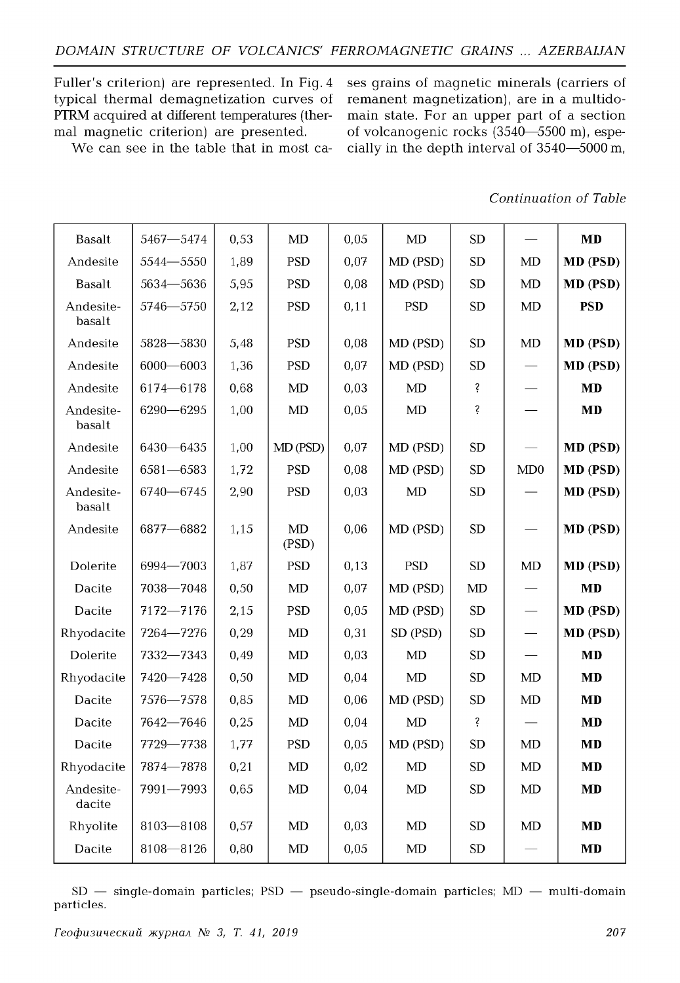Fuller's criterion) are represented. In Fig. 4 typical thermal demagnetization curves of PTRM acquired at different temperatures (thermal magnetic criterion) are presented.

We can see in the table that in most ca-

ses grains of magnetic minerals (carriers of remanent magnetization), are in a multidomain state. For an upper part of a section of volcanogenic rocks (3540—5500 m), especially in the depth interval of 3540—5000 m,

### *Continuation of Table*

| <b>Basalt</b>       | 5467-5474     | 0,53 | MD          | 0,05 | MD         | ${\rm SD}$ |     | <b>MD</b>       |
|---------------------|---------------|------|-------------|------|------------|------------|-----|-----------------|
| Andesite            | 5544-5550     | 1,89 | <b>PSD</b>  | 0,07 | MD (PSD)   | <b>SD</b>  | MD  | MD (PSD)        |
| <b>Basalt</b>       | 5634-5636     | 5,95 | <b>PSD</b>  | 0,08 | MD (PSD)   | ${\rm SD}$ | MD  | MD (PSD)        |
| Andesite-<br>basalt | 5746-5750     | 2,12 | <b>PSD</b>  | 0,11 | <b>PSD</b> | SD         | MD  | <b>PSD</b>      |
| Andesite            | 5828-5830     | 5,48 | <b>PSD</b>  | 0,08 | MD (PSD)   | SD         | MD  | MD (PSD)        |
| Andesite            | $6000 - 6003$ | 1,36 | <b>PSD</b>  | 0,07 | MD (PSD)   | <b>SD</b>  |     | MD (PSD)        |
| Andesite            | 6174-6178     | 0,68 | MD          | 0,03 | MD         | ş          |     | MD              |
| Andesite-<br>basalt | $6290 - 6295$ | 1,00 | MD          | 0,05 | MD         | Ŝ          |     | <b>MD</b>       |
| Andesite            | 6430-6435     | 1,00 | MD (PSD)    | 0,07 | MD (PSD)   | <b>SD</b>  |     | MD (PSD)        |
| Andesite            | $6581 - 6583$ | 1,72 | <b>PSD</b>  | 0,08 | MD (PSD)   | <b>SD</b>  | MD0 | <b>MD</b> (PSD) |
| Andesite-<br>basalt | 6740-6745     | 2,90 | <b>PSD</b>  | 0,03 | MD         | ${\rm SD}$ |     | MD (PSD)        |
| Andesite            | 6877-6882     | 1,15 | MD<br>(PSD) | 0,06 | MD (PSD)   | SD         |     | MD (PSD)        |
| Dolerite            | 6994-7003     | 1,87 | <b>PSD</b>  | 0,13 | <b>PSD</b> | SD         | MD  | MD (PSD)        |
| Dacite              | 7038-7048     | 0,50 | MD          | 0,07 | MD (PSD)   | MD         |     | <b>MD</b>       |
| Dacite              | 7172-7176     | 2,15 | <b>PSD</b>  | 0,05 | MD (PSD)   | SD         |     | <b>MD</b> (PSD) |
| Rhyodacite          | 7264-7276     | 0,29 | MD          | 0,31 | SD (PSD)   | SD         |     | MD (PSD)        |
| Dolerite            | 7332-7343     | 0,49 | MD          | 0,03 | MD         | SD         |     | <b>MD</b>       |
| Rhyodacite          | 7420-7428     | 0,50 | MD          | 0,04 | <b>MD</b>  | <b>SD</b>  | MD  | MD              |
| Dacite              | 7576-7578     | 0,85 | MD          | 0,06 | MD (PSD)   | ${\rm SD}$ | MD  | <b>MD</b>       |
| Dacite              | 7642-7646     | 0,25 | MD          | 0,04 | MD         | Ş          |     | <b>MD</b>       |
| Dacite              | 7729-7738     | 1,77 | <b>PSD</b>  | 0,05 | MD (PSD)   | <b>SD</b>  | MD  | <b>MD</b>       |
| Rhyodacite          | 7874-7878     | 0,21 | MD          | 0,02 | MD         | ${\rm SD}$ | MD  | <b>MD</b>       |
| Andesite-<br>dacite | 7991-7993     | 0,65 | MD          | 0,04 | MD         | <b>SD</b>  | MD  | <b>MD</b>       |
| Rhyolite            | $8103 - 8108$ | 0,57 | MD          | 0,03 | MD         | SD         | MD  | <b>MD</b>       |
| Dacite              | $8108 - 8126$ | 0,80 | MD          | 0,05 | MD         | <b>SD</b>  |     | <b>MD</b>       |

 $SD$  — single-domain particles;  $PSD$  — pseudo-single-domain particles;  $MD$  — multi-domain particles.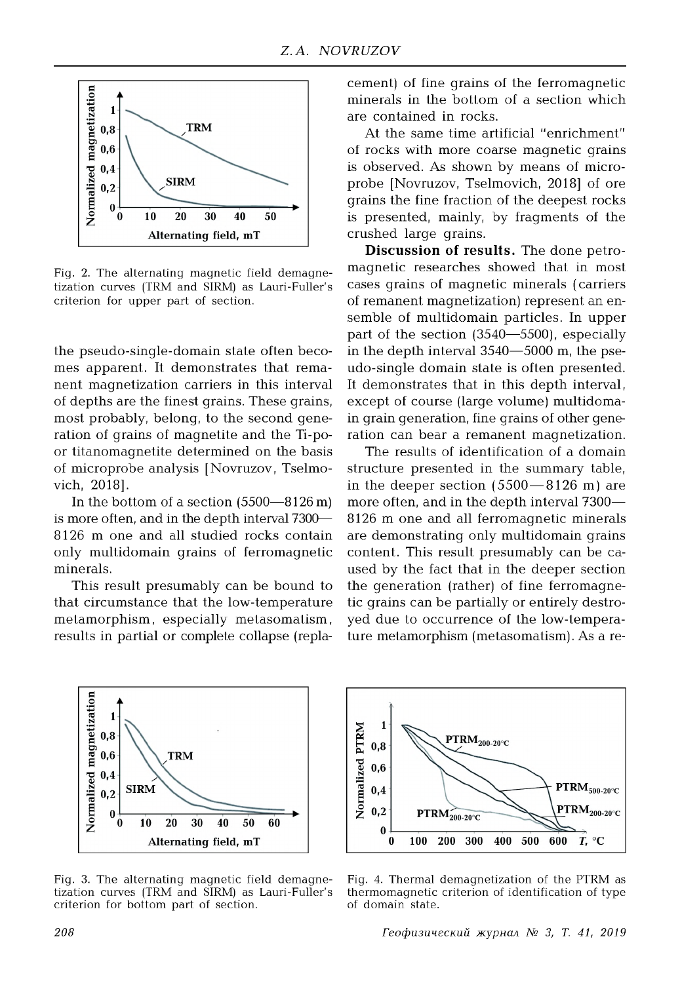

Fig. 2. The alternating magnetic field demagnetization curves (TRM and SIRM) as Lauri-Fuller's criterion for upper part of section.

the pseudo-single-domain state often becomes apparent. It demonstrates that remanent magnetization carriers in this interval of depths are the finest grains. These grains, most probably, belong, to the second generation of grains of magnetite and the Ti-poor titanomagnetite determined on the basis of microprobe analysis [Novruzov, Tselmovich, 2018].

In the bottom of a section (5500—8126 m) is more often, and in the depth interval 7300— 8126 m one and all studied rocks contain only multidomain grains of ferromagnetic minerals.

This result presumably can be bound to that circumstance that the low-temperature metamorphism, especially metasomatism, results in partial or complete collapse (replacement) of fine grains of the ferromagnetic minerals in the bottom of a section which are contained in rocks.

At the same time artificial "enrichment" of rocks with more coarse magnetic grains is observed. As shown by means of microprobe [Novruzov, Tselmovich, 2018] of ore grains the fine fraction of the deepest rocks is presented, mainly, by fragments of the crushed large grains.

**Discussion of results.** The done petromagnetic researches showed that in most cases grains of magnetic minerals ( carriers of remanent magnetization) represent an ensemble of multidomain particles. In upper part of the section (3540—5500), especially in the depth interval 3540—5000 m, the pseudo-single domain state is often presented. It demonstrates that in this depth interval, except of course (large volume) multidomain grain generation, fine grains of other generation can bear a remanent magnetization.

The results of identification of a domain structure presented in the summary table, in the deeper section  $(5500 - 8126)$  m are more often, and in the depth interval 7300— 8126 m one and all ferromagnetic minerals are demonstrating only multidomain grains content. This result presumably can be caused by the fact that in the deeper section the generation (rather) of fine ferromagnetic grains can be partially or entirely destroyed due to occurrence of the low-temperature metamorphism (metasomatism). As a re-



Fig. 3. The alternating magnetic field demagnetization curves (TRM and SIRM) as Lauri-Fuller's criterion for bottom part of section.



Fig. 4. Thermal demagnetization of the PTRM as thermomagnetic criterion of identification of type of domain state.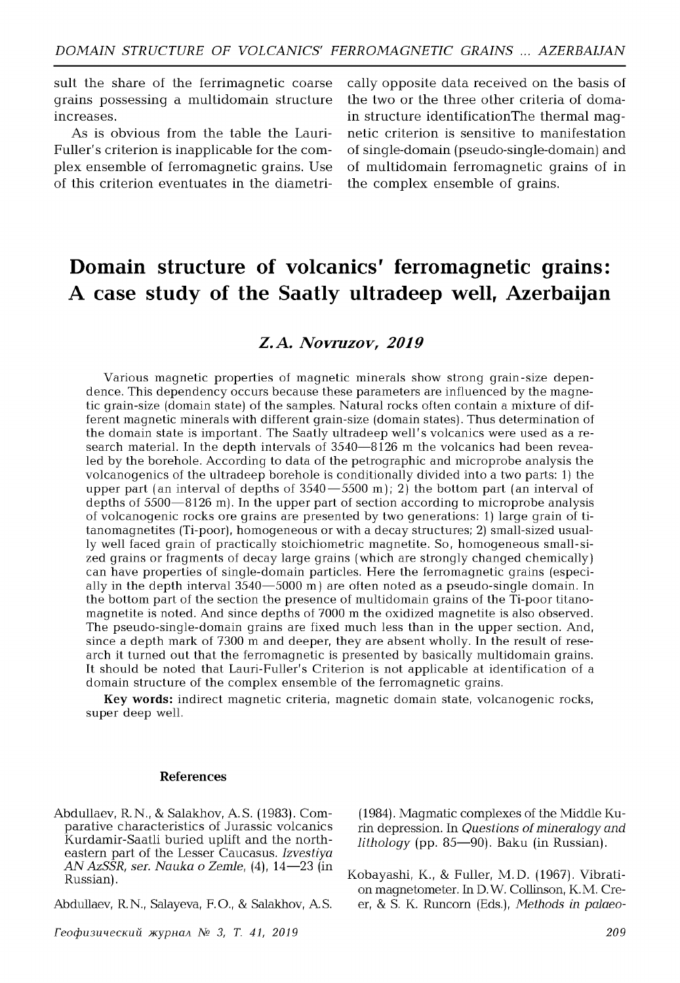suit the share of the ferrimagnetic coarse grains possessing a multidomain structure increases.

As is obvious from the table the Lauri-Fuller's criterion is inapplicable for the complex ensemble of ferromagnetic grains. Use of this criterion eventuates in the diametrically opposite data received on the basis of the two or the three other criteria of domain structure identificationThe thermal magnetic criterion is sensitive to manifestation of single-domain (pseudo-single-domain) and of multidomain ferromagnetic grains of in the complex ensemble of grains.

# **Domain structure of volcanics' ferromagnetic grains: A case study of the Saatly ultradeep well, Azerbaijan**

## *Z.A. Novruzov, 2019*

Various magnetic properties of magnetic minerals show strong grain-size dependence. This dependency occurs because these parameters are influenced by the magnetic grain-size (domain state) of the samples. Natural rocks often contain a mixture of different magnetic minerals with different grain-size (domain states). Thus determination of the domain state is important. The Saatly ultradeep well's volcanics were used as a research material. In the depth intervals of 3540-8126 m the volcanics had been revealed by the borehole. According to data of the petrographic and microprobe analysis the volcanogenics of the ultradeep borehole is conditionally divided into a two parts: 1) the upper part (an interval of depths of  $3540 - 5500$  m); 2) the bottom part (an interval of depths of  $5500-8126$  m). In the upper part of section according to microprobe analysis of volcanogenic rocks ore grains are presented by two generations: 1) large grain of titanom agnetites (Ti-poor), homogeneous or with a decay structures; 2) small-sized usually well faced grain of practically stoichiometric magnetite. So, homogeneous small-sized grains or fragments of decay large grains (which are strongly changed chemically) can have properties of single-domain particles. Here the ferromagnetic grains (especially in the depth interval  $3540 - 5000$  m) are often noted as a pseudo-single domain. In the bottom part of the section the presence of multidomain grains of the Ti-poor titanomagnetite is noted. And since depths of 7000 m the oxidized magnetite is also observed. The pseudo-single-domain grains are fixed much less than in the upper section. And, since a depth mark of 7300 m and deeper, they are absent wholly. In the result of research it turned out that the ferrom agnetic is presented by basically multidomain grains. It should be noted that Lauri-Fuller's Criterion is not applicable at identification of a domain structure of the complex ensemble of the ferromagnetic grains.

Key words: indirect magnetic criteria, magnetic domain state, volcanogenic rocks, super deep well.

#### **References**

- Abdullaev, R.N., & Salakhov, A.S. (1983). Comparative characteristics of Jurassic volcanics Kurdamir-Saatli buried uplift and the northeastern part of the Lesser Caucasus. Izvestiya *AN AzSSR, ser. Nauka o Zemle,* (4), 14—23 (in Russian).
- Abdullaev, R.N., Salayeva, F.O., & Salakhov, A.S.

(1984). Magmatic complexes of the Middle Kurin depression. In *Questions of mineralogy and lithology* (pp. 85— 90). Baku (in Russian).

Kobayashi, K., & Fuller, M.D. (1967). Vibration magnetometer. In D.W. Collinson, K.M. Creer, & S. K. Runcorn (Eds.), *Methods in palaeo-*